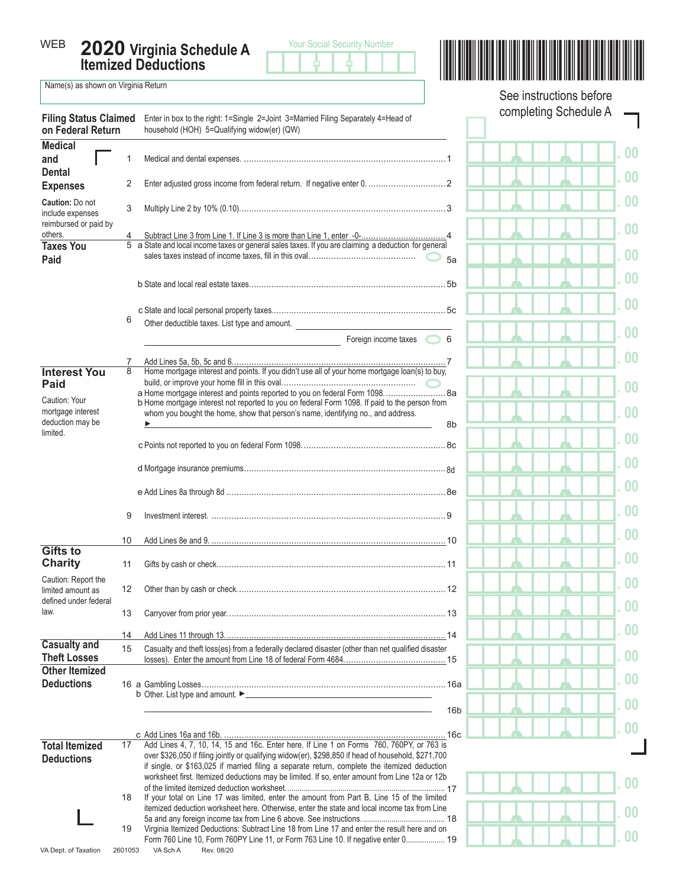**2020 Virginia Schedule A Itemized Deductions** WEB



\*VASCHA120888\* Your Social Security Number

See instructions before

 $\Box$ 

Name(s) as shown on Virginia Return

| <b>Filing Status Claimed</b><br>on Federal Return |         | Enter in box to the right: 1=Single 2=Joint 3=Married Filing Separately 4=Head of<br>household (HOH) 5=Qualifying widow(er) (QW)                                                                |                 | completing Schedule A |  |  |  |
|---------------------------------------------------|---------|-------------------------------------------------------------------------------------------------------------------------------------------------------------------------------------------------|-----------------|-----------------------|--|--|--|
| <b>Medical</b>                                    |         |                                                                                                                                                                                                 |                 | 0 <sub>0</sub>        |  |  |  |
| and                                               | 1       |                                                                                                                                                                                                 |                 |                       |  |  |  |
| <b>Dental</b><br><b>Expenses</b>                  | 2       |                                                                                                                                                                                                 |                 | 0 <sub>0</sub>        |  |  |  |
| Caution: Do not<br>include expenses               | 3       |                                                                                                                                                                                                 |                 | 0 <sub>0</sub>        |  |  |  |
| reimbursed or paid by<br>others.                  |         |                                                                                                                                                                                                 |                 | 0 <sub>0</sub>        |  |  |  |
| <b>Taxes You</b><br>Paid                          |         | 5 a State and local income taxes or general sales taxes. If you are claiming a deduction for general                                                                                            | 5a              | 00                    |  |  |  |
|                                                   |         |                                                                                                                                                                                                 |                 | 0 <sub>0</sub>        |  |  |  |
|                                                   |         |                                                                                                                                                                                                 |                 | 0 <sub>0</sub>        |  |  |  |
|                                                   | 6       |                                                                                                                                                                                                 |                 |                       |  |  |  |
|                                                   |         | Other deductible taxes. List type and amount.                                                                                                                                                   |                 | 00                    |  |  |  |
|                                                   |         | Foreign income taxes 6                                                                                                                                                                          |                 |                       |  |  |  |
|                                                   |         |                                                                                                                                                                                                 |                 | 0 <sub>0</sub>        |  |  |  |
| <b>Interest You</b>                               | 8       | Home mortgage interest and points. If you didn't use all of your home mortgage loan(s) to buy,                                                                                                  |                 |                       |  |  |  |
| Paid                                              |         | a Home mortgage interest and points reported to you on federal Form 1098 8a                                                                                                                     |                 | 00                    |  |  |  |
| Caution: Your                                     |         | b Home mortgage interest not reported to you on federal Form 1098. If paid to the person from                                                                                                   |                 |                       |  |  |  |
| mortgage interest                                 |         | whom you bought the home, show that person's name, identifying no., and address.                                                                                                                |                 | 0 <sub>0</sub>        |  |  |  |
| deduction may be<br>limited.                      |         |                                                                                                                                                                                                 | 8b              |                       |  |  |  |
|                                                   |         |                                                                                                                                                                                                 |                 | 0 <sub>0</sub>        |  |  |  |
|                                                   |         |                                                                                                                                                                                                 |                 | 0 <sub>0</sub>        |  |  |  |
|                                                   |         |                                                                                                                                                                                                 |                 | 0 <sub>0</sub>        |  |  |  |
|                                                   |         |                                                                                                                                                                                                 |                 |                       |  |  |  |
|                                                   | 9       |                                                                                                                                                                                                 |                 | 0 <sub>0</sub>        |  |  |  |
|                                                   | 10      |                                                                                                                                                                                                 |                 | 0 <sub>0</sub>        |  |  |  |
| <b>Gifts to</b><br>Charity                        | 11      |                                                                                                                                                                                                 |                 | 0 <sub>0</sub>        |  |  |  |
| Caution: Report the<br>limited amount as          | 12      |                                                                                                                                                                                                 |                 | 0 <sub>0</sub>        |  |  |  |
| defined under federal<br>law.                     | 13      |                                                                                                                                                                                                 |                 | 00                    |  |  |  |
|                                                   | 14      |                                                                                                                                                                                                 |                 | 0 <sub>0</sub>        |  |  |  |
| <b>Casualty and</b><br><b>Theft Losses</b>        | 15      | Casualty and theft loss(es) from a federally declared disaster (other than net qualified disaster                                                                                               |                 | 0 <sub>0</sub>        |  |  |  |
| <b>Other Itemized</b>                             |         |                                                                                                                                                                                                 |                 |                       |  |  |  |
| <b>Deductions</b>                                 |         |                                                                                                                                                                                                 |                 | 0 <sub>0</sub>        |  |  |  |
|                                                   |         |                                                                                                                                                                                                 | 16 <sub>b</sub> | 0 <sub>0</sub>        |  |  |  |
|                                                   |         |                                                                                                                                                                                                 |                 | 0 <sub>0</sub>        |  |  |  |
|                                                   |         |                                                                                                                                                                                                 |                 |                       |  |  |  |
| <b>Total Itemized</b>                             | 17      | Add Lines 4, 7, 10, 14, 15 and 16c. Enter here. If Line 1 on Forms 760, 760PY, or 763 is<br>over \$326,050 if filing jointly or qualifying widow(er), \$298,850 if head of household, \$271,700 |                 |                       |  |  |  |
| <b>Deductions</b>                                 |         | if single, or \$163,025 if married filing a separate return, complete the itemized deduction                                                                                                    |                 |                       |  |  |  |
|                                                   |         | worksheet first. Itemized deductions may be limited. If so, enter amount from Line 12a or 12b                                                                                                   |                 | 0 <sub>0</sub>        |  |  |  |
|                                                   | 18      | If your total on Line 17 was limited, enter the amount from Part B, Line 15 of the limited                                                                                                      |                 |                       |  |  |  |
|                                                   |         | itemized deduction worksheet here. Otherwise, enter the state and local income tax from Line                                                                                                    |                 | 0 <sub>0</sub>        |  |  |  |
|                                                   |         |                                                                                                                                                                                                 |                 |                       |  |  |  |
|                                                   | 19      | Virginia Itemized Deductions: Subtract Line 18 from Line 17 and enter the result here and on<br>Form 760 Line 10, Form 760PY Line 11, or Form 763 Line 10. If negative enter 0 19               |                 | 0 <sub>0</sub>        |  |  |  |
| VA Dept. of Taxation                              | 2601053 | VA Sch A<br>Rev. 08/20                                                                                                                                                                          |                 |                       |  |  |  |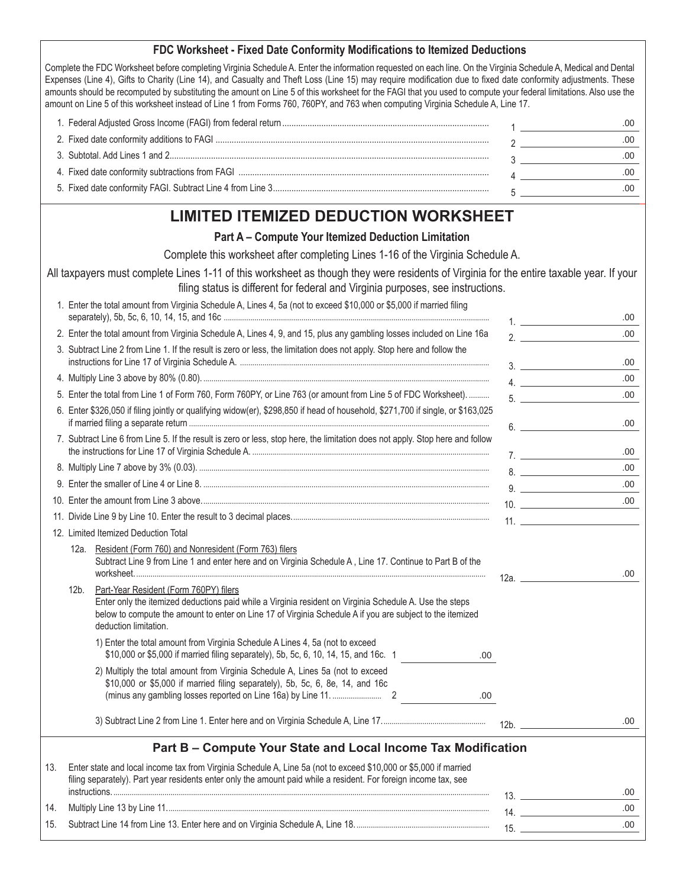#### **FDC Worksheet - Fixed Date Conformity Modifications to Itemized Deductions**

Complete the FDC Worksheet before completing Virginia Schedule A. Enter the information requested on each line. On the Virginia Schedule A, Medical and Dental Expenses (Line 4), Gifts to Charity (Line 14), and Casualty and Theft Loss (Line 15) may require modification due to fixed date conformity adjustments. These amounts should be recomputed by substituting the amount on Line 5 of this worksheet for the FAGI that you used to compute your federal limitations. Also use the amount on Line 5 of this worksheet instead of Line 1 from Forms 760, 760PY, and 763 when computing Virginia Schedule A, Line 17.

### **LIMITED ITEMIZED DEDUCTION WORKSHEET**

#### **Part A – Compute Your Itemized Deduction Limitation**

Complete this worksheet after completing Lines 1-16 of the Virginia Schedule A.

All taxpayers must complete Lines 1-11 of this worksheet as though they were residents of Virginia for the entire taxable year. If your filing status is different for federal and Virginia purposes, see instructions.

| 1. Enter the total amount from Virginia Schedule A, Lines 4, 5a (not to exceed \$10,000 or \$5,000 if married filing                                                                                                                                                                               |         | .00  |
|----------------------------------------------------------------------------------------------------------------------------------------------------------------------------------------------------------------------------------------------------------------------------------------------------|---------|------|
| 2. Enter the total amount from Virginia Schedule A, Lines 4, 9, and 15, plus any gambling losses included on Line 16a                                                                                                                                                                              | 2.      | .00. |
| 3. Subtract Line 2 from Line 1. If the result is zero or less, the limitation does not apply. Stop here and follow the                                                                                                                                                                             | 3.      | .00  |
|                                                                                                                                                                                                                                                                                                    | 4.      | .00. |
| 5. Enter the total from Line 1 of Form 760, Form 760PY, or Line 763 (or amount from Line 5 of FDC Worksheet).                                                                                                                                                                                      | 5.      | .00. |
| 6. Enter \$326,050 if filing jointly or qualifying widow(er), \$298,850 if head of household, \$271,700 if single, or \$163,025                                                                                                                                                                    | 6.      | .00. |
| 7. Subtract Line 6 from Line 5. If the result is zero or less, stop here, the limitation does not apply. Stop here and follow                                                                                                                                                                      | 7.      | .00  |
|                                                                                                                                                                                                                                                                                                    | 8.      | .00. |
|                                                                                                                                                                                                                                                                                                    |         | .00. |
|                                                                                                                                                                                                                                                                                                    |         | .00. |
|                                                                                                                                                                                                                                                                                                    |         | 11.  |
| 12. Limited Itemized Deduction Total                                                                                                                                                                                                                                                               |         |      |
| Resident (Form 760) and Nonresident (Form 763) filers<br>12a. l<br>Subtract Line 9 from Line 1 and enter here and on Virginia Schedule A, Line 17. Continue to Part B of the                                                                                                                       |         | .00  |
| Part-Year Resident (Form 760PY) filers<br>$12b$ .<br>Enter only the itemized deductions paid while a Virginia resident on Virginia Schedule A. Use the steps<br>below to compute the amount to enter on Line 17 of Virginia Schedule A if you are subject to the itemized<br>deduction limitation. | $12a$ . |      |
| 1) Enter the total amount from Virginia Schedule A Lines 4, 5a (not to exceed<br>\$10,000 or \$5,000 if married filing separately), 5b, 5c, 6, 10, 14, 15, and 16c. 1<br>.00                                                                                                                       |         |      |
| 2) Multiply the total amount from Virginia Schedule A, Lines 5a (not to exceed<br>\$10,000 or \$5,000 if married filing separately), 5b, 5c, 6, 8e, 14, and 16c<br>.00.                                                                                                                            |         |      |
|                                                                                                                                                                                                                                                                                                    | 12b.    | .00. |
| Part B – Compute Your State and Local Income Tax Modification                                                                                                                                                                                                                                      |         |      |
| 13. Enter state and local income tax from Virginia Schedule A, Line 5a (not to exceed \$10,000 or \$5,000 if married                                                                                                                                                                               |         |      |

| $\cdot$ | Enter of and tool information that is in signification believation, Enter or thor to oxyood who,ove or wo,ove in mannou |  |
|---------|-------------------------------------------------------------------------------------------------------------------------|--|
|         | filing separately). Part year residents enter only the amount paid while a resident. For foreign income tax, see        |  |
|         | instructions.                                                                                                           |  |
|         |                                                                                                                         |  |
|         |                                                                                                                         |  |
|         |                                                                                                                         |  |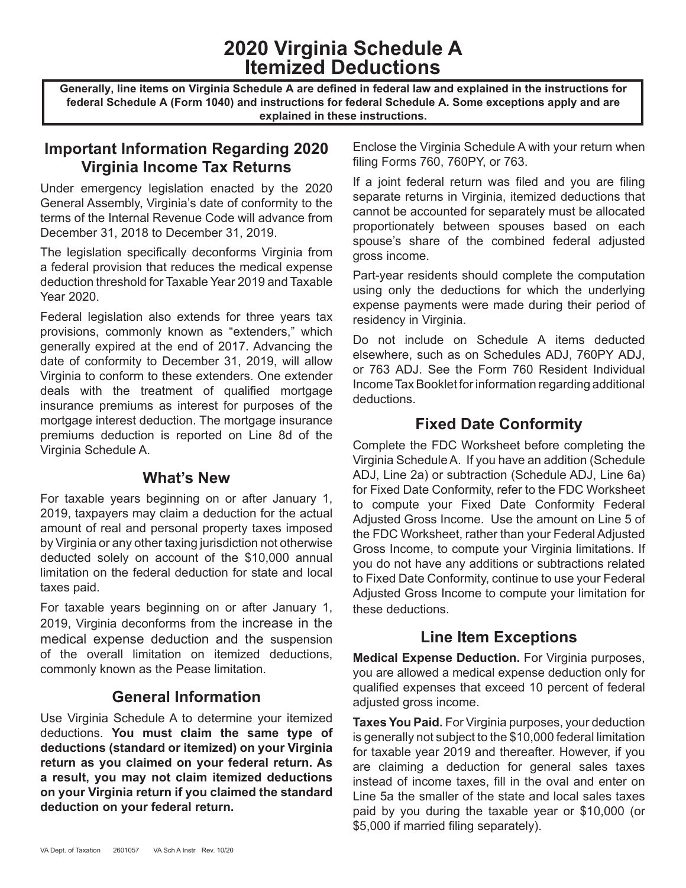# **2020 Virginia Schedule A Itemized Deductions**

**Generally, line items on Virginia Schedule A are defined in federal law and explained in the instructions for federal Schedule A (Form 1040) and instructions for federal Schedule A. Some exceptions apply and are explained in these instructions.**

## **Important Information Regarding 2020 Virginia Income Tax Returns**

Under emergency legislation enacted by the 2020 General Assembly, Virginia's date of conformity to the terms of the Internal Revenue Code will advance from December 31, 2018 to December 31, 2019.

The legislation specifically deconforms Virginia from a federal provision that reduces the medical expense deduction threshold for Taxable Year 2019 and Taxable Year 2020.

Federal legislation also extends for three years tax provisions, commonly known as "extenders," which generally expired at the end of 2017. Advancing the date of conformity to December 31, 2019, will allow Virginia to conform to these extenders. One extender deals with the treatment of qualified mortgage insurance premiums as interest for purposes of the mortgage interest deduction. The mortgage insurance premiums deduction is reported on Line 8d of the Virginia Schedule A.

#### **What's New**

For taxable years beginning on or after January 1, 2019, taxpayers may claim a deduction for the actual amount of real and personal property taxes imposed by Virginia or any other taxing jurisdiction not otherwise deducted solely on account of the \$10,000 annual limitation on the federal deduction for state and local taxes paid.

For taxable years beginning on or after January 1, 2019, Virginia deconforms from the increase in the medical expense deduction and the suspension of the overall limitation on itemized deductions, commonly known as the Pease limitation.

### **General Information**

Use Virginia Schedule A to determine your itemized deductions. **You must claim the same type of deductions (standard or itemized) on your Virginia return as you claimed on your federal return. As a result, you may not claim itemized deductions on your Virginia return if you claimed the standard deduction on your federal return.** 

Enclose the Virginia Schedule A with your return when filing Forms 760, 760PY, or 763.

If a joint federal return was filed and you are filing separate returns in Virginia, itemized deductions that cannot be accounted for separately must be allocated proportionately between spouses based on each spouse's share of the combined federal adjusted gross income.

Part-year residents should complete the computation using only the deductions for which the underlying expense payments were made during their period of residency in Virginia.

Do not include on Schedule A items deducted elsewhere, such as on Schedules ADJ, 760PY ADJ, or 763 ADJ. See the Form 760 Resident Individual Income Tax Booklet for information regarding additional deductions.

# **Fixed Date Conformity**

Complete the FDC Worksheet before completing the Virginia Schedule A. If you have an addition (Schedule ADJ, Line 2a) or subtraction (Schedule ADJ, Line 6a) for Fixed Date Conformity, refer to the FDC Worksheet to compute your Fixed Date Conformity Federal Adjusted Gross Income. Use the amount on Line 5 of the FDC Worksheet, rather than your Federal Adjusted Gross Income, to compute your Virginia limitations. If you do not have any additions or subtractions related to Fixed Date Conformity, continue to use your Federal Adjusted Gross Income to compute your limitation for these deductions.

# **Line Item Exceptions**

**Medical Expense Deduction.** For Virginia purposes, you are allowed a medical expense deduction only for qualified expenses that exceed 10 percent of federal adjusted gross income.

**Taxes You Paid.** For Virginia purposes, your deduction is generally not subject to the \$10,000 federal limitation for taxable year 2019 and thereafter. However, if you are claiming a deduction for general sales taxes instead of income taxes, fill in the oval and enter on Line 5a the smaller of the state and local sales taxes paid by you during the taxable year or \$10,000 (or \$5,000 if married filing separately).